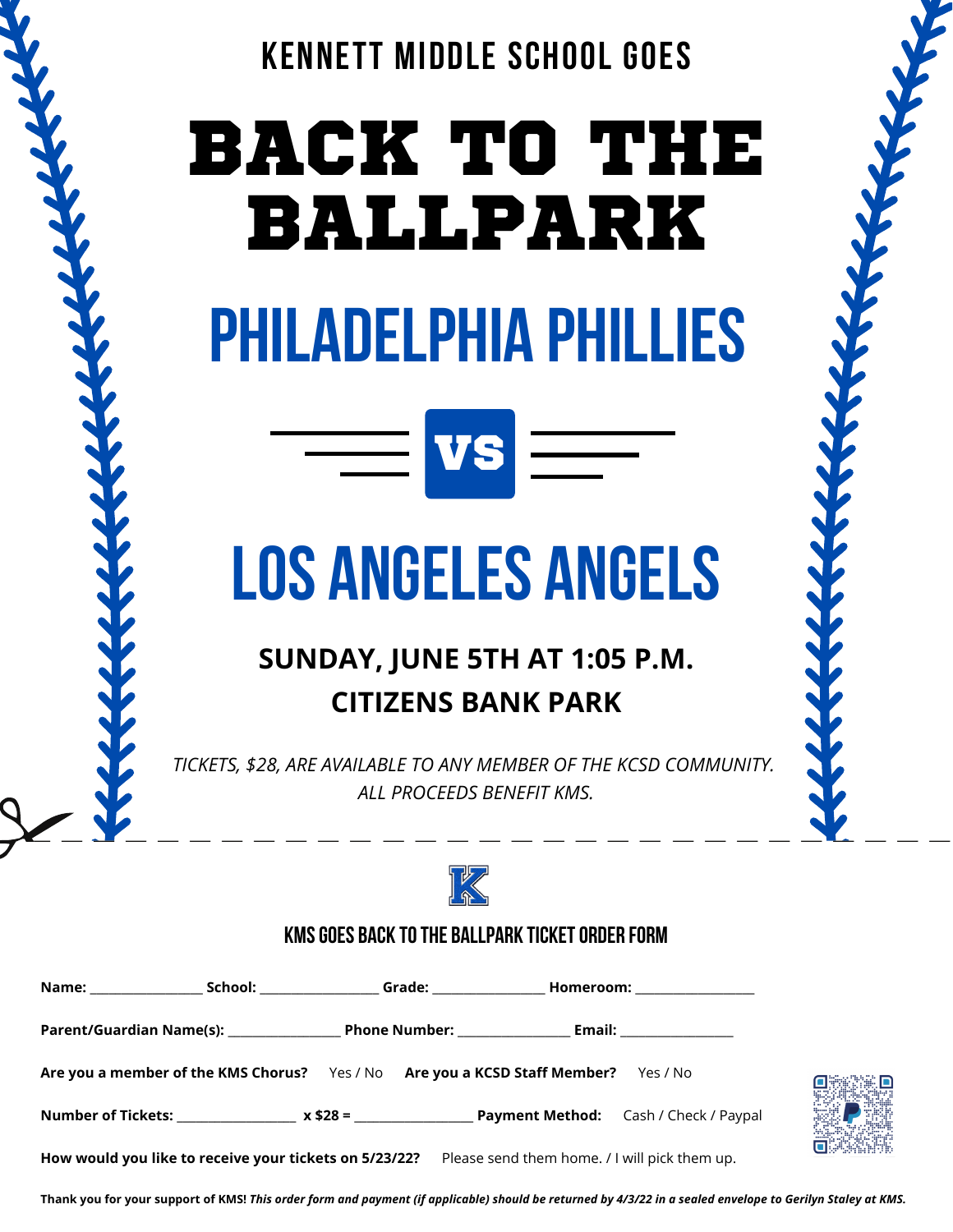

# BACK TO THE BALLPARK PHILADELPHIA PHILLIES

## LOS ANGELES ANGELS

 $=$  VS  $=$ 

### **SUNDAY, JUNE 5TH AT 1:05 P.M. CITIZENS BANK PARK**

*TICKETS, \$28, ARE AVAILABLE TO ANY MEMBER OF THE KCSD COMMUNITY. ALL PROCEEDS BENEFIT KMS.*



#### KMS GOES BACK TO THE BALLPARK TICKET ORDER FORM

|  | Are you a member of the KMS Chorus? Yes / No Are you a KCSD Staff Member? Yes / No                   |  |  |  |
|--|------------------------------------------------------------------------------------------------------|--|--|--|
|  |                                                                                                      |  |  |  |
|  | How would you like to receive your tickets on 5/23/22? Please send them home. / I will pick them up. |  |  |  |



**Thank you for your support of KMS!** *This order form and payment (if applicable) should be returned by 4/3/22 in a sealed envelope to Gerilyn Staley at KMS.*